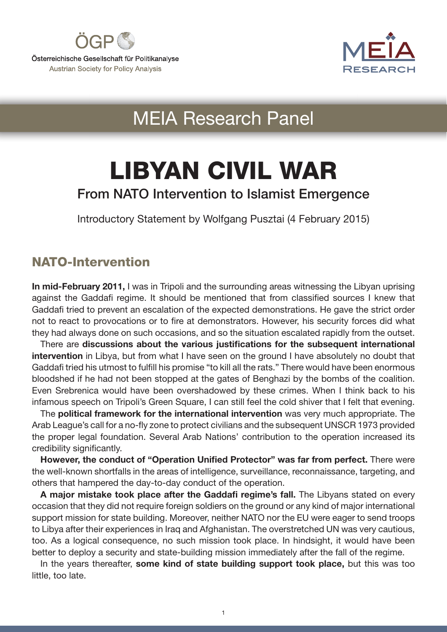



# MEIA Research Panel

# LIBYAN CIVIL WAR

# From NATO Intervention to Islamist Emergence

Introductory Statement by Wolfgang Pusztai (4 February 2015)

## NATO-Intervention

In mid-February 2011, I was in Tripoli and the surrounding areas witnessing the Libyan uprising against the Gaddafi regime. It should be mentioned that from classified sources I knew that Gaddafi tried to prevent an escalation of the expected demonstrations. He gave the strict order not to react to provocations or to fire at demonstrators. However, his security forces did what they had always done on such occasions, and so the situation escalated rapidly from the outset.

There are discussions about the various justifications for the subsequent international intervention in Libya, but from what I have seen on the ground I have absolutely no doubt that Gaddafi tried his utmost to fulfill his promise "to kill all the rats." There would have been enormous bloodshed if he had not been stopped at the gates of Benghazi by the bombs of the coalition. Even Srebrenica would have been overshadowed by these crimes. When I think back to his infamous speech on Tripoli's Green Square, I can still feel the cold shiver that I felt that evening.

The political framework for the international intervention was very much appropriate. The Arab League's call for a no-fly zone to protect civilians and the subsequent UNSCR 1973 provided the proper legal foundation. Several Arab Nations' contribution to the operation increased its credibility significantly.

However, the conduct of "Operation Unified Protector" was far from perfect. There were the well-known shortfalls in the areas of intelligence, surveillance, reconnaissance, targeting, and others that hampered the day-to-day conduct of the operation.

A major mistake took place after the Gaddafi regime's fall. The Libyans stated on every occasion that they did not require foreign soldiers on the ground or any kind of major international support mission for state building. Moreover, neither NATO nor the EU were eager to send troops to Libya after their experiences in Iraq and Afghanistan. The overstretched UN was very cautious, too. As a logical consequence, no such mission took place. In hindsight, it would have been better to deploy a security and state-building mission immediately after the fall of the regime.

In the years thereafter, some kind of state building support took place, but this was too little, too late.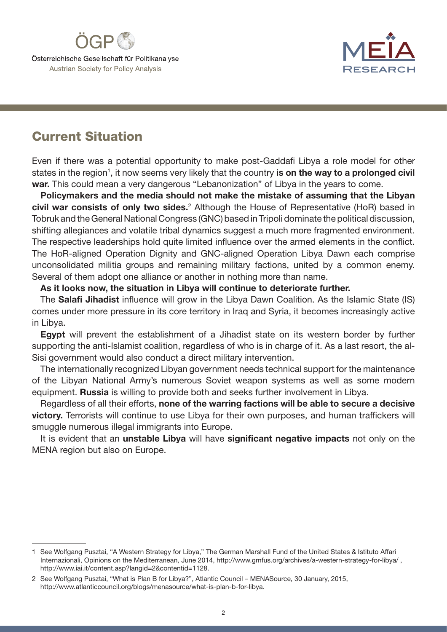



## Current Situation

Even if there was a potential opportunity to make post-Gaddafi Libya a role model for other states in the region<sup>1</sup>, it now seems very likely that the country is on the way to a prolonged civil war. This could mean a very dangerous "Lebanonization" of Libya in the years to come.

Policymakers and the media should not make the mistake of assuming that the Libyan civil war consists of only two sides.<sup>2</sup> Although the House of Representative (HoR) based in Tobruk and the General National Congress (GNC) based in Tripoli dominate the political discussion, shifting allegiances and volatile tribal dynamics suggest a much more fragmented environment. The respective leaderships hold quite limited influence over the armed elements in the conflict. The HoR-aligned Operation Dignity and GNC-aligned Operation Libya Dawn each comprise unconsolidated militia groups and remaining military factions, united by a common enemy. Several of them adopt one alliance or another in nothing more than name.

#### As it looks now, the situation in Libya will continue to deteriorate further.

The Salafi Jihadist influence will grow in the Libya Dawn Coalition. As the Islamic State (IS) comes under more pressure in its core territory in Iraq and Syria, it becomes increasingly active in Libya.

Egypt will prevent the establishment of a Jihadist state on its western border by further supporting the anti-Islamist coalition, regardless of who is in charge of it. As a last resort, the al-Sisi government would also conduct a direct military intervention.

The internationally recognized Libyan government needs technical support for the maintenance of the Libyan National Army's numerous Soviet weapon systems as well as some modern equipment. Russia is willing to provide both and seeks further involvement in Libya.

Regardless of all their efforts, none of the warring factions will be able to secure a decisive victory. Terrorists will continue to use Libya for their own purposes, and human traffickers will smuggle numerous illegal immigrants into Europe.

It is evident that an unstable Libya will have significant negative impacts not only on the MENA region but also on Europe.

<sup>1</sup> See Wolfgang Pusztai, "A Western Strategy for Libya," The German Marshall Fund of the United States & Istituto Affari Internazionali, Opinions on the Mediterranean, June 2014, http://www.gmfus.org/archives/a-western-strategy-for-libya/ , http://www.iai.it/content.asp?langid=2&contentid=1128.

<sup>2</sup> See Wolfgang Pusztai, "What is Plan B for Libya?", Atlantic Council – MENASource, 30 January, 2015, http://www.atlanticcouncil.org/blogs/menasource/what-is-plan-b-for-libya.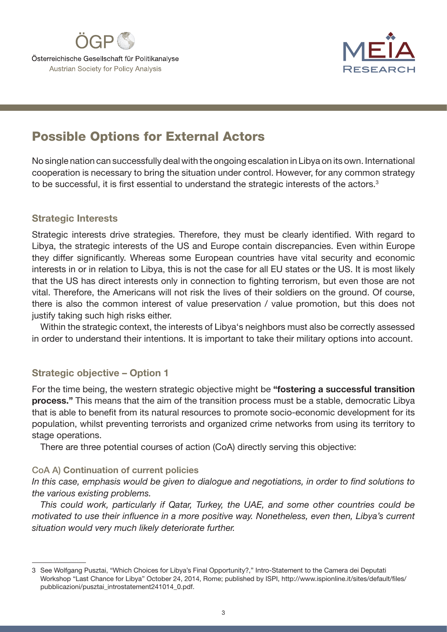



# Possible Options for External Actors

No single nation can successfully deal with the ongoing escalation in Libya on its own. International cooperation is necessary to bring the situation under control. However, for any common strategy to be successful, it is first essential to understand the strategic interests of the actors.<sup>3</sup>

#### Strategic Interests

Strategic interests drive strategies. Therefore, they must be clearly identified. With regard to Libya, the strategic interests of the US and Europe contain discrepancies. Even within Europe they differ significantly. Whereas some European countries have vital security and economic interests in or in relation to Libya, this is not the case for all EU states or the US. It is most likely that the US has direct interests only in connection to fighting terrorism, but even those are not vital. Therefore, the Americans will not risk the lives of their soldiers on the ground. Of course, there is also the common interest of value preservation / value promotion, but this does not justify taking such high risks either.

Within the strategic context, the interests of Libya's neighbors must also be correctly assessed in order to understand their intentions. It is important to take their military options into account.

#### Strategic objective – Option 1

For the time being, the western strategic objective might be "fostering a successful transition process." This means that the aim of the transition process must be a stable, democratic Libya that is able to benefit from its natural resources to promote socio-economic development for its population, whilst preventing terrorists and organized crime networks from using its territory to stage operations.

There are three potential courses of action (CoA) directly serving this objective:

#### CoA A) Continuation of current policies

*In this case, emphasis would be given to dialogue and negotiations, in order to find solutions to the various existing problems.*

*This could work, particularly if Qatar, Turkey, the UAE, and some other countries could be motivated to use their influence in a more positive way. Nonetheless, even then, Libya's current situation would very much likely deteriorate further.*

<sup>3</sup> See Wolfgang Pusztai, "Which Choices for Libya's Final Opportunity?," Intro-Statement to the Camera dei Deputati Workshop "Last Chance for Libya" October 24, 2014, Rome; published by ISPI, http://www.ispionline.it/sites/default/files/ pubblicazioni/pusztai\_introstatement241014\_0.pdf.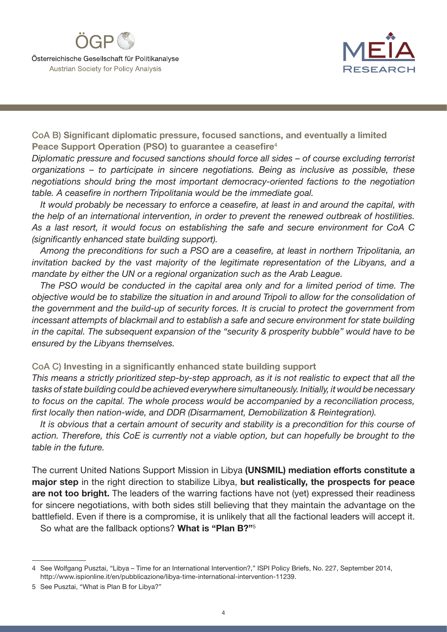



CoA B) Significant diplomatic pressure, focused sanctions, and eventually a limited Peace Support Operation (PSO) to guarantee a ceasefire<sup>4</sup>

*Diplomatic pressure and focused sanctions should force all sides – of course excluding terrorist organizations – to participate in sincere negotiations. Being as inclusive as possible, these negotiations should bring the most important democracy-oriented factions to the negotiation table. A ceasefire in northern Tripolitania would be the immediate goal.*

*It would probably be necessary to enforce a ceasefire, at least in and around the capital, with the help of an international intervention, in order to prevent the renewed outbreak of hostilities. As a last resort, it would focus on establishing the safe and secure environment for CoA C (significantly enhanced state building support).*

*Among the preconditions for such a PSO are a ceasefire, at least in northern Tripolitania, an invitation backed by the vast majority of the legitimate representation of the Libyans, and a mandate by either the UN or a regional organization such as the Arab League.*

*The PSO would be conducted in the capital area only and for a limited period of time. The objective would be to stabilize the situation in and around Tripoli to allow for the consolidation of the government and the build-up of security forces. It is crucial to protect the government from incessant attempts of blackmail and to establish a safe and secure environment for state building in the capital. The subsequent expansion of the "security & prosperity bubble" would have to be ensured by the Libyans themselves.*

CoA C) Investing in a significantly enhanced state building support

*This means a strictly prioritized step-by-step approach, as it is not realistic to expect that all the tasks of state building could be achieved everywhere simultaneously. Initially, it would be necessary to focus on the capital. The whole process would be accompanied by a reconciliation process, first locally then nation-wide, and DDR (Disarmament, Demobilization & Reintegration).*

*It is obvious that a certain amount of security and stability is a precondition for this course of action. Therefore, this CoE is currently not a viable option, but can hopefully be brought to the table in the future.*

The current United Nations Support Mission in Libya (UNSMIL) mediation efforts constitute a major step in the right direction to stabilize Libya, but realistically, the prospects for peace are not too bright. The leaders of the warring factions have not (yet) expressed their readiness for sincere negotiations, with both sides still believing that they maintain the advantage on the battlefield. Even if there is a compromise, it is unlikely that all the factional leaders will accept it. So what are the fallback options? What is "Plan B?"<sup>5</sup>

<sup>4</sup> See Wolfgang Pusztai, "Libya – Time for an International Intervention?," ISPI Policy Briefs, No. 227, September 2014, http://www.ispionline.it/en/pubblicazione/libya-time-international-intervention-11239.

<sup>5</sup> See Pusztai, "What is Plan B for Libya?"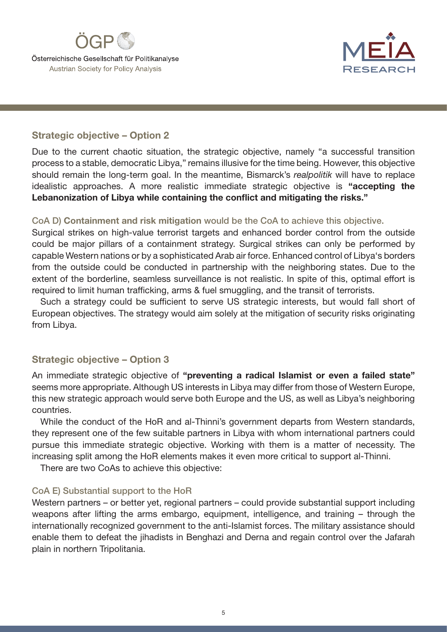



#### Strategic objective – Option 2

Due to the current chaotic situation, the strategic objective, namely "a successful transition process to a stable, democratic Libya," remains illusive for the time being. However, this objective should remain the long-term goal. In the meantime, Bismarck's *realpolitik* will have to replace idealistic approaches. A more realistic immediate strategic objective is "accepting the Lebanonization of Libya while containing the conflict and mitigating the risks."

#### CoA D) Containment and risk mitigation would be the CoA to achieve this objective.

Surgical strikes on high-value terrorist targets and enhanced border control from the outside could be major pillars of a containment strategy. Surgical strikes can only be performed by capable Western nations or by a sophisticated Arab air force. Enhanced control of Libya's borders from the outside could be conducted in partnership with the neighboring states. Due to the extent of the borderline, seamless surveillance is not realistic. In spite of this, optimal effort is required to limit human trafficking, arms & fuel smuggling, and the transit of terrorists.

Such a strategy could be sufficient to serve US strategic interests, but would fall short of European objectives. The strategy would aim solely at the mitigation of security risks originating from Libya.

#### Strategic objective – Option 3

An immediate strategic objective of "preventing a radical Islamist or even a failed state" seems more appropriate. Although US interests in Libya may differ from those of Western Europe, this new strategic approach would serve both Europe and the US, as well as Libya's neighboring countries.

While the conduct of the HoR and al-Thinni's government departs from Western standards, they represent one of the few suitable partners in Libya with whom international partners could pursue this immediate strategic objective. Working with them is a matter of necessity. The increasing split among the HoR elements makes it even more critical to support al-Thinni.

There are two CoAs to achieve this objective:

#### CoA E) Substantial support to the HoR

Western partners – or better yet, regional partners – could provide substantial support including weapons after lifting the arms embargo, equipment, intelligence, and training – through the internationally recognized government to the anti-Islamist forces. The military assistance should enable them to defeat the jihadists in Benghazi and Derna and regain control over the Jafarah plain in northern Tripolitania.